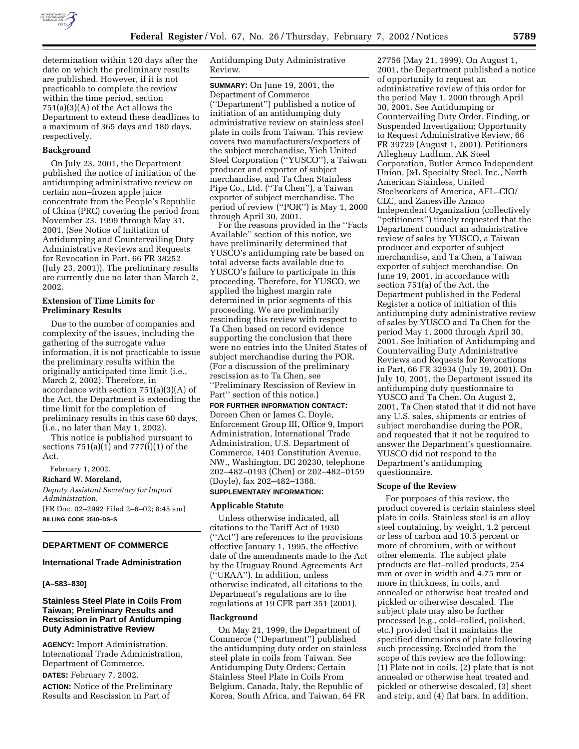

determination within 120 days after the date on which the preliminary results are published. However, if it is not practicable to complete the review within the time period, section 751(a)(3)(A) of the Act allows the Department to extend these deadlines to a maximum of 365 days and 180 days, respectively.

# **Background**

On July 23, 2001, the Department published the notice of initiation of the antidumping administrative review on certain non–frozen apple juice concentrate from the People's Republic of China (PRC) covering the period from November 23, 1999 through May 31, 2001. (See Notice of Initiation of Antidumping and Countervailing Duty Administrative Reviews and Requests for Revocation in Part, 66 FR 38252 (July 23, 2001)). The preliminary results are currently due no later than March 2, 2002.

# **Extension of Time Limits for Preliminary Results**

Due to the number of companies and complexity of the issues, including the gathering of the surrogate value information, it is not practicable to issue the preliminary results within the originally anticipated time limit (i.e., March 2, 2002). Therefore, in accordance with section 751(a)(3)(A) of the Act, the Department is extending the time limit for the completion of preliminary results in this case 60 days, (i.e., no later than May 1, 2002).

This notice is published pursuant to sections  $751(a)(1)$  and  $777(i)(1)$  of the Act.

February 1, 2002.

**Richard W. Moreland,** *Deputy Assistant Secretary for Import Administration.* [FR Doc. 02–2992 Filed 2–6–02; 8:45 am] **BILLING CODE 3510–DS–S**

# **DEPARTMENT OF COMMERCE**

### **International Trade Administration**

### **[A–583–830]**

# **Stainless Steel Plate in Coils From Taiwan; Preliminary Results and Rescission in Part of Antidumping Duty Administrative Review**

**AGENCY:** Import Administration, International Trade Administration, Department of Commerce.

**DATES:** February 7, 2002. **ACTION:** Notice of the Preliminary Results and Rescission in Part of

Antidumping Duty Administrative Review.

**SUMMARY:** On June 19, 2001, the Department of Commerce (''Department'') published a notice of initiation of an antidumping duty administrative review on stainless steel plate in coils from Taiwan. This review covers two manufacturers/exporters of the subject merchandise, Yieh United Steel Corporation (''YUSCO''), a Taiwan producer and exporter of subject merchandise, and Ta Chen Stainless Pipe Co., Ltd. (''Ta Chen''), a Taiwan exporter of subject merchandise. The period of review (''POR'') is May 1, 2000 through April 30, 2001.

For the reasons provided in the ''Facts Available'' section of this notice, we have preliminarily determined that YUSCO's antidumping rate be based on total adverse facts available due to YUSCO's failure to participate in this proceeding. Therefore, for YUSCO, we applied the highest margin rate determined in prior segments of this proceeding. We are preliminarily rescinding this review with respect to Ta Chen based on record evidence supporting the conclusion that there were no entries into the United States of subject merchandise during the POR. (For a discussion of the preliminary rescission as to Ta Chen, see ''Preliminary Rescission of Review in Part'' section of this notice.)

# **FOR FURTHER INFORMATION CONTACT:**

Doreen Chen or James C. Doyle, Enforcement Group III, Office 9, Import Administration, International Trade Administration, U.S. Department of Commerce, 1401 Constitution Avenue, NW., Washington, DC 20230, telephone 202–482–0193 (Chen) or 202–482–0159 (Doyle), fax 202–482–1388.

### **SUPPLEMENTARY INFORMATION:**

#### **Applicable Statute**

Unless otherwise indicated, all citations to the Tariff Act of 1930 (''Act'') are references to the provisions effective January 1, 1995, the effective date of the amendments made to the Act by the Uruguay Round Agreements Act (''URAA''). In addition, unless otherwise indicated, all citations to the Department's regulations are to the regulations at 19 CFR part 351 (2001).

### **Background**

On May 21, 1999, the Department of Commerce (''Department'') published the antidumping duty order on stainless steel plate in coils from Taiwan. See Antidumping Duty Orders; Certain Stainless Steel Plate in Coils From Belgium, Canada, Italy, the Republic of Korea, South Africa, and Taiwan, 64 FR

27756 (May 21, 1999). On August 1, 2001, the Department published a notice of opportunity to request an administrative review of this order for the period May 1, 2000 through April 30, 2001. See Antidumping or Countervailing Duty Order, Finding, or Suspended Investigation; Opportunity to Request Administrative Review, 66 FR 39729 (August 1, 2001). Petitioners Allegheny Ludlum, AK Steel Corporation, Butler Armco Independent Union, J&L Specialty Steel, Inc., North American Stainless, United Steelworkers of America, AFL–CIO/ CLC, and Zanesville Armco Independent Organization (collectively ''petitioners'') timely requested that the Department conduct an administrative review of sales by YUSCO, a Taiwan producer and exporter of subject merchandise, and Ta Chen, a Taiwan exporter of subject merchandise. On June 19, 2001, in accordance with section 751(a) of the Act, the Department published in the Federal Register a notice of initiation of this antidumping duty administrative review of sales by YUSCO and Ta Chen for the period May 1, 2000 through April 30, 2001. See Initiation of Antidumping and Countervailing Duty Administrative Reviews and Requests for Revocations in Part, 66 FR 32934 (July 19, 2001). On July 10, 2001, the Department issued its antidumping duty questionnaire to YUSCO and Ta Chen. On August 2, 2001, Ta Chen stated that it did not have any U.S. sales, shipments or entries of subject merchandise during the POR, and requested that it not be required to answer the Department's questionnaire. YUSCO did not respond to the Department's antidumping questionnaire.

#### **Scope of the Review**

For purposes of this review, the product covered is certain stainless steel plate in coils. Stainless steel is an alloy steel containing, by weight, 1.2 percent or less of carbon and 10.5 percent or more of chromium, with or without other elements. The subject plate products are flat–rolled products, 254 mm or over in width and 4.75 mm or more in thickness, in coils, and annealed or otherwise heat treated and pickled or otherwise descaled. The subject plate may also be further processed (e.g., cold–rolled, polished, etc.) provided that it maintains the specified dimensions of plate following such processing. Excluded from the scope of this review are the following: (1) Plate not in coils, (2) plate that is not annealed or otherwise heat treated and pickled or otherwise descaled, (3) sheet and strip, and (4) flat bars. In addition,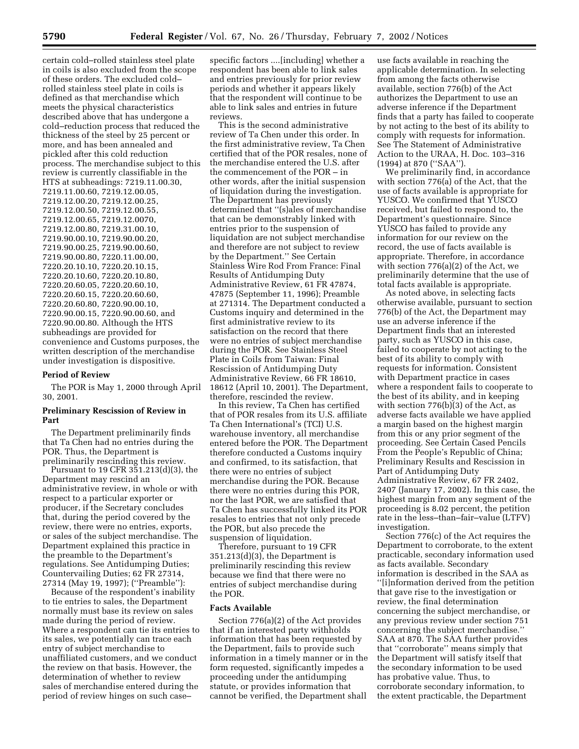certain cold–rolled stainless steel plate in coils is also excluded from the scope of these orders. The excluded cold– rolled stainless steel plate in coils is defined as that merchandise which meets the physical characteristics described above that has undergone a cold–reduction process that reduced the thickness of the steel by 25 percent or more, and has been annealed and pickled after this cold reduction process. The merchandise subject to this review is currently classifiable in the HTS at subheadings: 7219.11.00.30, 7219.11.00.60, 7219.12.00.05, 7219.12.00.20, 7219.12.00.25, 7219.12.00.50, 7219.12.00.55, 7219.12.00.65, 7219.12.0070, 7219.12.00.80, 7219.31.00.10, 7219.90.00.10, 7219.90.00.20, 7219.90.00.25, 7219.90.00.60, 7219.90.00.80, 7220.11.00.00, 7220.20.10.10, 7220.20.10.15, 7220.20.10.60, 7220.20.10.80, 7220.20.60.05, 7220.20.60.10, 7220.20.60.15, 7220.20.60.60, 7220.20.60.80, 7220.90.00.10, 7220.90.00.15, 7220.90.00.60, and 7220.90.00.80. Although the HTS subheadings are provided for convenience and Customs purposes, the written description of the merchandise under investigation is dispositive.

### **Period of Review**

The POR is May 1, 2000 through April 30, 2001.

# **Preliminary Rescission of Review in Part**

The Department preliminarily finds that Ta Chen had no entries during the POR. Thus, the Department is preliminarily rescinding this review.

Pursuant to 19 CFR 351.213(d)(3), the Department may rescind an administrative review, in whole or with respect to a particular exporter or producer, if the Secretary concludes that, during the period covered by the review, there were no entries, exports, or sales of the subject merchandise. The Department explained this practice in the preamble to the Department's regulations. See Antidumping Duties; Countervailing Duties; 62 FR 27314, 27314 (May 19, 1997); (''Preamble''):

Because of the respondent's inability to tie entries to sales, the Department normally must base its review on sales made during the period of review. Where a respondent can tie its entries to its sales, we potentially can trace each entry of subject merchandise to unaffiliated customers, and we conduct the review on that basis. However, the determination of whether to review sales of merchandise entered during the period of review hinges on such case–

specific factors ....[including] whether a respondent has been able to link sales and entries previously for prior review periods and whether it appears likely that the respondent will continue to be able to link sales and entries in future reviews.

This is the second administrative review of Ta Chen under this order. In the first administrative review, Ta Chen certified that of the POR resales, none of the merchandise entered the U.S. after the commencement of the POR – in other words, after the initial suspension of liquidation during the investigation. The Department has previously determined that ''(s)ales of merchandise that can be demonstrably linked with entries prior to the suspension of liquidation are not subject merchandise and therefore are not subject to review by the Department.'' See Certain Stainless Wire Rod From France: Final Results of Antidumping Duty Administrative Review, 61 FR 47874, 47875 (September 11, 1996); Preamble at 271314. The Department conducted a Customs inquiry and determined in the first administrative review to its satisfaction on the record that there were no entries of subject merchandise during the POR. See Stainless Steel Plate in Coils from Taiwan: Final Rescission of Antidumping Duty Administrative Review, 66 FR 18610, 18612 (April 10, 2001). The Department, therefore, rescinded the review.

In this review, Ta Chen has certified that of POR resales from its U.S. affiliate Ta Chen International's (TCI) U.S. warehouse inventory, all merchandise entered before the POR. The Department therefore conducted a Customs inquiry and confirmed, to its satisfaction, that there were no entries of subject merchandise during the POR. Because there were no entries during this POR, nor the last POR, we are satisfied that Ta Chen has successfully linked its POR resales to entries that not only precede the POR, but also precede the suspension of liquidation.

Therefore, pursuant to 19 CFR 351.213(d)(3), the Department is preliminarily rescinding this review because we find that there were no entries of subject merchandise during the POR.

### **Facts Available**

Section 776(a)(2) of the Act provides that if an interested party withholds information that has been requested by the Department, fails to provide such information in a timely manner or in the form requested, significantly impedes a proceeding under the antidumping statute, or provides information that cannot be verified, the Department shall

use facts available in reaching the applicable determination. In selecting from among the facts otherwise available, section 776(b) of the Act authorizes the Department to use an adverse inference if the Department finds that a party has failed to cooperate by not acting to the best of its ability to comply with requests for information. See The Statement of Administrative Action to the URAA, H. Doc. 103–316 (1994) at 870 (''SAA'').

We preliminarily find, in accordance with section 776(a) of the Act, that the use of facts available is appropriate for YUSCO. We confirmed that YUSCO received, but failed to respond to, the Department's questionnaire. Since YUSCO has failed to provide any information for our review on the record, the use of facts available is appropriate. Therefore, in accordance with section 776(a)(2) of the Act, we preliminarily determine that the use of total facts available is appropriate.

As noted above, in selecting facts otherwise available, pursuant to section 776(b) of the Act, the Department may use an adverse inference if the Department finds that an interested party, such as YUSCO in this case, failed to cooperate by not acting to the best of its ability to comply with requests for information. Consistent with Department practice in cases where a respondent fails to cooperate to the best of its ability, and in keeping with section 776(b)(3) of the Act, as adverse facts available we have applied a margin based on the highest margin from this or any prior segment of the proceeding. See Certain Cased Pencils From the People's Republic of China; Preliminary Results and Rescission in Part of Antidumping Duty Administrative Review, 67 FR 2402, 2407 (January 17, 2002). In this case, the highest margin from any segment of the proceeding is 8.02 percent, the petition rate in the less–than–fair–value (LTFV) investigation.

Section 776(c) of the Act requires the Department to corroborate, to the extent practicable, secondary information used as facts available. Secondary information is described in the SAA as ''[i]nformation derived from the petition that gave rise to the investigation or review, the final determination concerning the subject merchandise, or any previous review under section 751 concerning the subject merchandise.'' SAA at 870. The SAA further provides that ''corroborate'' means simply that the Department will satisfy itself that the secondary information to be used has probative value. Thus, to corroborate secondary information, to the extent practicable, the Department